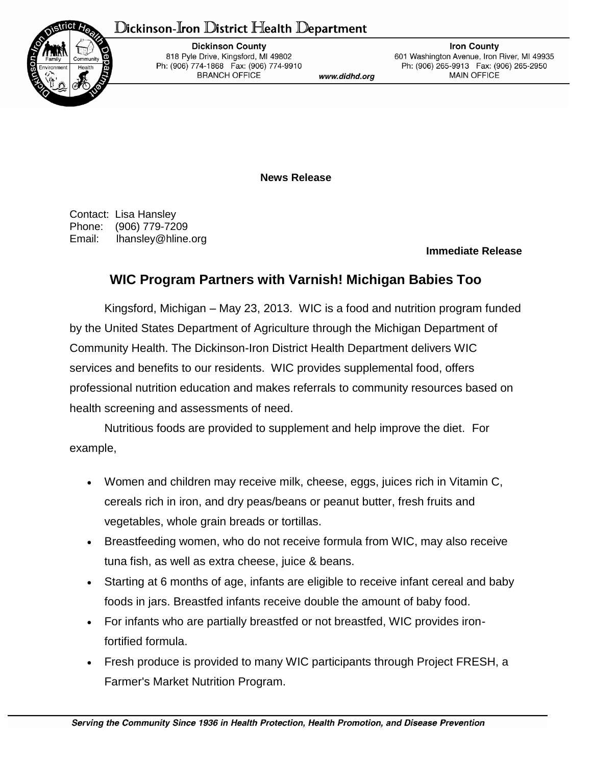## Dickinson-Iron District Health Department



**Dickinson County** 818 Pyle Drive, Kingsford, MI 49802 Ph: (906) 774-1868 Fax: (906) 774-9910 **BRANCH OFFICE** 

www.didhd.org

**Iron County** 601 Washington Avenue, Iron River, MI 49935 Ph: (906) 265-9913 Fax: (906) 265-2950 **MAIN OFFICE** 

**News Release**

Contact: Lisa Hansley Phone: (906) 779-7209 Email: lhansley@hline.org

## **Immediate Release**

## **WIC Program Partners with Varnish! Michigan Babies Too**

Kingsford, Michigan – May 23, 2013. WIC is a food and nutrition program funded by the United States Department of Agriculture through the Michigan Department of Community Health. The Dickinson-Iron District Health Department delivers WIC services and benefits to our residents. WIC provides supplemental food, offers professional nutrition education and makes referrals to community resources based on health screening and assessments of need.

Nutritious foods are provided to supplement and help improve the diet. For example,

- Women and children may receive milk, cheese, eggs, juices rich in Vitamin C, cereals rich in iron, and dry peas/beans or peanut butter, fresh fruits and vegetables, whole grain breads or tortillas.
- Breastfeeding women, who do not receive formula from WIC, may also receive tuna fish, as well as extra cheese, juice & beans.
- Starting at 6 months of age, infants are eligible to receive infant cereal and baby foods in jars. Breastfed infants receive double the amount of baby food.
- For infants who are partially breastfed or not breastfed, WIC provides ironfortified formula.
- Fresh produce is provided to many WIC participants through Project FRESH, a Farmer's Market Nutrition Program.